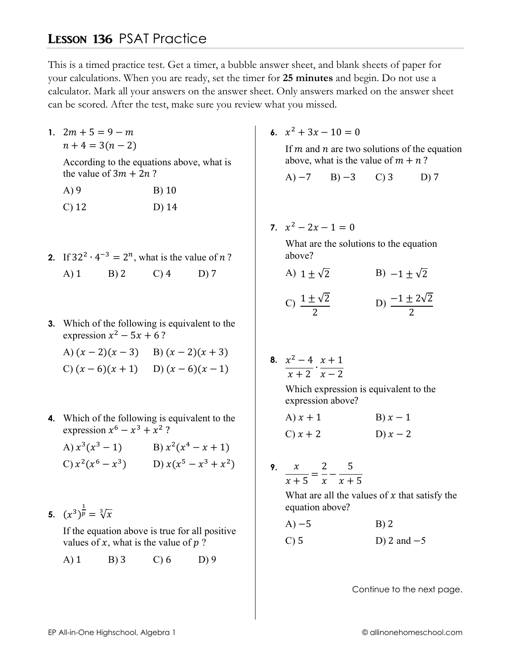## **LESSON 136 PSAT Practice**

This is a timed practice test. Get a timer, a bubble answer sheet, and blank sheets of paper for your calculations. When you are ready, set the timer for 25 minutes and begin. Do not use a calculator. Mark all your answers on the answer sheet. Only answers marked on the answer sheet can be scored. After the test, make sure you review what you missed.

1.  $2m + 5 = 9 - m$  $n+4=3(n-2)$ 

> According to the equations above, what is the value of  $3m + 2n$ ?

- $A)9$  $B)$  10  $C$ ) 12  $D)$  14
- 2. If  $32^2 \cdot 4^{-3} = 2^n$ , what is the value of *n*?  $(A)$  1  $B)2$  $C$ ) 4  $D)7$
- 3. Which of the following is equivalent to the expression  $x^2$  – 5x + 6?

A)  $(x-2)(x-3)$  B)  $(x-2)(x+3)$ C)  $(x-6)(x+1)$  D)  $(x-6)(x-1)$ 

4. Which of the following is equivalent to the expression  $x^6 - x^3 + x^2$ ?

A)  $x^3(x^3-1)$  B)  $x^2(x^4-x+1)$ C)  $x^2(x^6 - x^3)$  D)  $x(x^5 - x^3 + x^2)$ 

5.  $(x^3)^{\frac{1}{p}} = \sqrt[3]{x}$ 

If the equation above is true for all positive values of x, what is the value of  $p$ ?

 $A)$  1  $B)$  3  $C$ ) 6  $D$ ) 9 6.  $x^2 + 3x - 10 = 0$ 

If  $m$  and  $n$  are two solutions of the equation above, what is the value of  $m + n$ ?

 $A) -7$  $B) -3$  $\mathcal{C}$  3  $D)7$ 

7.  $x^2 - 2x - 1 = 0$ 

What are the solutions to the equation above?

A)  $1 + \sqrt{2}$  B)  $-1 + \sqrt{2}$ 

C) 
$$
\frac{1 \pm \sqrt{2}}{2}
$$
 D)  $\frac{-1 \pm 2\sqrt{2}}{2}$ 

8. 
$$
\frac{x^2 - 4}{x + 2} \cdot \frac{x + 1}{x - 2}
$$

Which expression is equivalent to the expression above?

A) 
$$
x + 1
$$
  
\nB)  $x - 1$   
\nC)  $x + 2$   
\nD)  $x - 2$ 

$$
\frac{x}{x+5} = \frac{2}{x} - \frac{5}{x+5}
$$

What are all the values of  $x$  that satisfy the equation above?

- $A) 5$  $B)$  2
- $C$ ) 5 D) 2 and  $-5$

Continue to the next page.